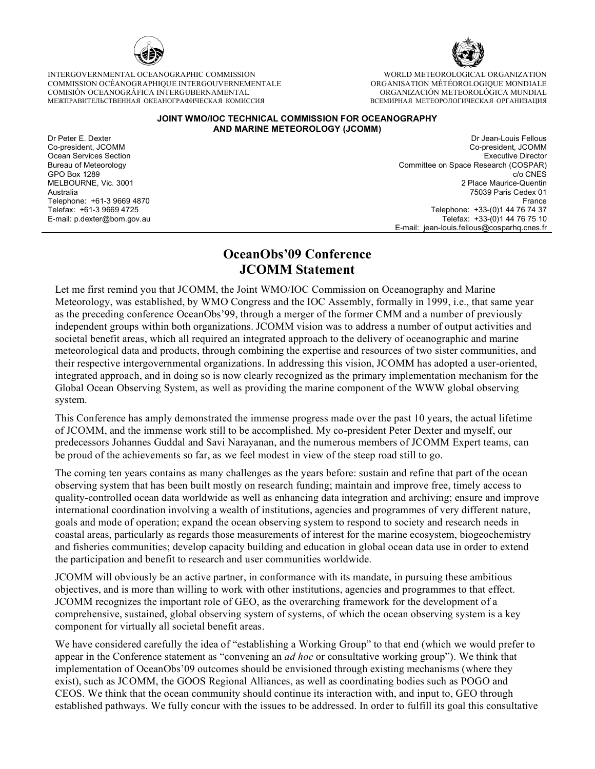

INTERGOVERNMENTAL OCEANOGRAPHIC COMMISSION COMMISSION OCÉANOGRAPHIQUE INTERGOUVERNEMENTALE COMISIÓN OCEANOGRÁFICA INTERGUBERNAMENTAL МЕЖПРАВИТЕЛЬСТВЕННАЯ ОКЕАНОГРАФИЧЕСКАЯ КОМИССИЯ



WORLD METEOROLOGICAL ORGANIZATION ORGANISATION MÉTÉOROLOGIQUE MONDIALE ORGANIZACIÓN METEOROLÓGICA MUNDIAL ВСЕМИРНАЯ МЕТЕОРОЛОГИЧЕСКАЯ ОРГАНИЗАЦИЯ

## **JOINT WMO/IOC TECHNICAL COMMISSION FOR OCEANOGRAPHY AND MARINE METEOROLOGY (JCOMM)**

Dr Peter E. Dexter Co-president, JCOMM Ocean Services Section Bureau of Meteorology GPO Box 1289 MELBOURNE, Vic. 3001 Australia Telephone: +61-3 9669 4870 Telefax: +61-3 9669 4725 E-mail: p.dexter@bom.gov.au

Dr Jean-Louis Fellous Co-president, JCOMM Executive Director Committee on Space Research (COSPAR) c/o CNES 2 Place Maurice-Quentin 75039 Paris Cedex 01 France Telephone: +33-(0)1 44 76 74 37 Telefax: +33-(0)1 44 76 75 10 E-mail: jean-louis.fellous@cosparhq.cnes.fr

## **OceanObs'09 Conference JCOMM Statement**

Let me first remind you that JCOMM, the Joint WMO/IOC Commission on Oceanography and Marine Meteorology, was established, by WMO Congress and the IOC Assembly, formally in 1999, i.e., that same year as the preceding conference OceanObs'99, through a merger of the former CMM and a number of previously independent groups within both organizations. JCOMM vision was to address a number of output activities and societal benefit areas, which all required an integrated approach to the delivery of oceanographic and marine meteorological data and products, through combining the expertise and resources of two sister communities, and their respective intergovernmental organizations. In addressing this vision, JCOMM has adopted a user-oriented, integrated approach, and in doing so is now clearly recognized as the primary implementation mechanism for the Global Ocean Observing System, as well as providing the marine component of the WWW global observing system.

This Conference has amply demonstrated the immense progress made over the past 10 years, the actual lifetime of JCOMM, and the immense work still to be accomplished. My co-president Peter Dexter and myself, our predecessors Johannes Guddal and Savi Narayanan, and the numerous members of JCOMM Expert teams, can be proud of the achievements so far, as we feel modest in view of the steep road still to go.

The coming ten years contains as many challenges as the years before: sustain and refine that part of the ocean observing system that has been built mostly on research funding; maintain and improve free, timely access to quality-controlled ocean data worldwide as well as enhancing data integration and archiving; ensure and improve international coordination involving a wealth of institutions, agencies and programmes of very different nature, goals and mode of operation; expand the ocean observing system to respond to society and research needs in coastal areas, particularly as regards those measurements of interest for the marine ecosystem, biogeochemistry and fisheries communities; develop capacity building and education in global ocean data use in order to extend the participation and benefit to research and user communities worldwide.

JCOMM will obviously be an active partner, in conformance with its mandate, in pursuing these ambitious objectives, and is more than willing to work with other institutions, agencies and programmes to that effect. JCOMM recognizes the important role of GEO, as the overarching framework for the development of a comprehensive, sustained, global observing system of systems, of which the ocean observing system is a key component for virtually all societal benefit areas.

We have considered carefully the idea of "establishing a Working Group" to that end (which we would prefer to appear in the Conference statement as "convening an *ad hoc* or consultative working group"). We think that implementation of OceanObs'09 outcomes should be envisioned through existing mechanisms (where they exist), such as JCOMM, the GOOS Regional Alliances, as well as coordinating bodies such as POGO and CEOS. We think that the ocean community should continue its interaction with, and input to, GEO through established pathways. We fully concur with the issues to be addressed. In order to fulfill its goal this consultative